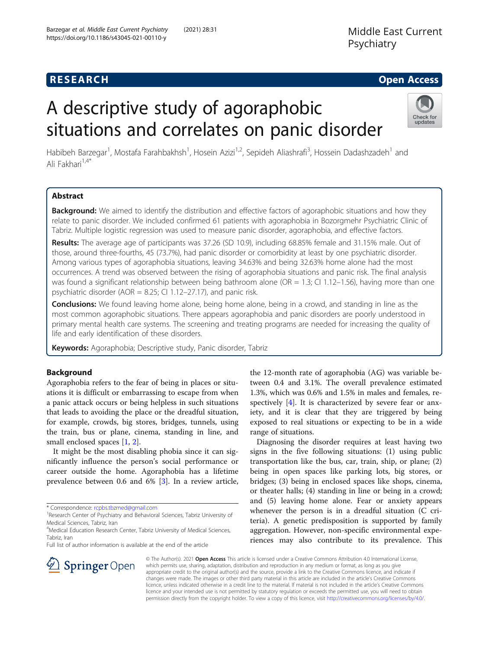## **RESEARCH CHE Open Access**

# A descriptive study of agoraphobic situations and correlates on panic disorder



Habibeh Barzegar<sup>1</sup>, Mostafa Farahbakhsh<sup>1</sup>, Hosein Azizi<sup>1,2</sup>, Sepideh Aliashrafi<sup>3</sup>, Hossein Dadashzadeh<sup>1</sup> and Ali Fakhari<sup>1,4\*</sup>

## Abstract

**Background:** We aimed to identify the distribution and effective factors of agoraphobic situations and how they relate to panic disorder. We included confirmed 61 patients with agoraphobia in Bozorgmehr Psychiatric Clinic of Tabriz. Multiple logistic regression was used to measure panic disorder, agoraphobia, and effective factors.

Results: The average age of participants was 37.26 (SD 10.9), including 68.85% female and 31.15% male. Out of those, around three-fourths, 45 (73.7%), had panic disorder or comorbidity at least by one psychiatric disorder. Among various types of agoraphobia situations, leaving 34.63% and being 32.63% home alone had the most occurrences. A trend was observed between the rising of agoraphobia situations and panic risk. The final analysis was found a significant relationship between being bathroom alone (OR = 1.3; CI 1.12–1.56), having more than one psychiatric disorder (AOR = 8.25; CI 1.12–27.17), and panic risk.

**Conclusions:** We found leaving home alone, being home alone, being in a crowd, and standing in line as the most common agoraphobic situations. There appears agoraphobia and panic disorders are poorly understood in primary mental health care systems. The screening and treating programs are needed for increasing the quality of life and early identification of these disorders.

Keywords: Agoraphobia; Descriptive study, Panic disorder, Tabriz

## Background

Agoraphobia refers to the fear of being in places or situations it is difficult or embarrassing to escape from when a panic attack occurs or being helpless in such situations that leads to avoiding the place or the dreadful situation, for example, crowds, big stores, bridges, tunnels, using the train, bus or plane, cinema, standing in line, and small enclosed spaces [\[1](#page-6-0), [2](#page-6-0)].

It might be the most disabling phobia since it can significantly influence the person's social performance or career outside the home. Agoraphobia has a lifetime prevalence between 0.6 and 6% [[3\]](#page-6-0). In a review article,

Full list of author information is available at the end of the article



Diagnosing the disorder requires at least having two signs in the five following situations: (1) using public transportation like the bus, car, train, ship, or plane; (2) being in open spaces like parking lots, big stores, or bridges; (3) being in enclosed spaces like shops, cinema, or theater halls; (4) standing in line or being in a crowd; and (5) leaving home alone. Fear or anxiety appears whenever the person is in a dreadful situation (C criteria). A genetic predisposition is supported by family aggregation. However, non-specific environmental experiences may also contribute to its prevalence. This



© The Author(s). 2021 Open Access This article is licensed under a Creative Commons Attribution 4.0 International License, which permits use, sharing, adaptation, distribution and reproduction in any medium or format, as long as you give appropriate credit to the original author(s) and the source, provide a link to the Creative Commons licence, and indicate if changes were made. The images or other third party material in this article are included in the article's Creative Commons licence, unless indicated otherwise in a credit line to the material. If material is not included in the article's Creative Commons licence and your intended use is not permitted by statutory regulation or exceeds the permitted use, you will need to obtain permission directly from the copyright holder. To view a copy of this licence, visit <http://creativecommons.org/licenses/by/4.0/>.

<sup>\*</sup> Correspondence: [rcpbs.tbzmed@gmail.com](mailto:rcpbs.tbzmed@gmail.com) <sup>1</sup>

<sup>&</sup>lt;sup>1</sup>Research Center of Psychiatry and Behavioral Sciences, Tabriz University of Medical Sciences, Tabriz, Iran

<sup>&</sup>lt;sup>4</sup>Medical Education Research Center, Tabriz University of Medical Sciences, Tabriz, Iran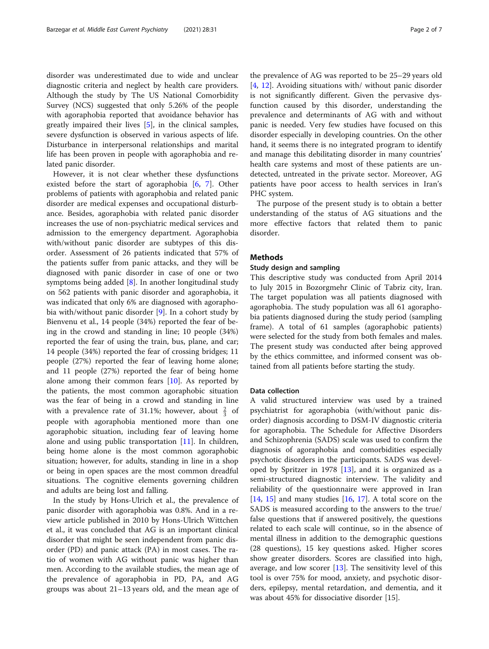disorder was underestimated due to wide and unclear diagnostic criteria and neglect by health care providers. Although the study by The US National Comorbidity Survey (NCS) suggested that only 5.26% of the people with agoraphobia reported that avoidance behavior has greatly impaired their lives [\[5](#page-6-0)], in the clinical samples, severe dysfunction is observed in various aspects of life. Disturbance in interpersonal relationships and marital life has been proven in people with agoraphobia and related panic disorder.

However, it is not clear whether these dysfunctions existed before the start of agoraphobia [\[6](#page-6-0), [7](#page-6-0)]. Other problems of patients with agoraphobia and related panic disorder are medical expenses and occupational disturbance. Besides, agoraphobia with related panic disorder increases the use of non-psychiatric medical services and admission to the emergency department. Agoraphobia with/without panic disorder are subtypes of this disorder. Assessment of 26 patients indicated that 57% of the patients suffer from panic attacks, and they will be diagnosed with panic disorder in case of one or two symptoms being added  $[8]$  $[8]$ . In another longitudinal study on 562 patients with panic disorder and agoraphobia, it was indicated that only 6% are diagnosed with agoraphobia with/without panic disorder [\[9](#page-6-0)]. In a cohort study by Bienvenu et al., 14 people (34%) reported the fear of being in the crowd and standing in line; 10 people (34%) reported the fear of using the train, bus, plane, and car; 14 people (34%) reported the fear of crossing bridges; 11 people (27%) reported the fear of leaving home alone; and 11 people (27%) reported the fear of being home alone among their common fears  $[10]$  $[10]$ . As reported by the patients, the most common agoraphobic situation was the fear of being in a crowd and standing in line with a prevalence rate of 31.1%; however, about  $\frac{2}{3}$  of people with agoraphobia mentioned more than one agoraphobic situation, including fear of leaving home alone and using public transportation [[11\]](#page-6-0). In children, being home alone is the most common agoraphobic situation; however, for adults, standing in line in a shop or being in open spaces are the most common dreadful situations. The cognitive elements governing children and adults are being lost and falling.

In the study by Hons-Ulrich et al., the prevalence of panic disorder with agoraphobia was 0.8%. And in a review article published in 2010 by Hons-Ulrich Wittchen et al., it was concluded that AG is an important clinical disorder that might be seen independent from panic disorder (PD) and panic attack (PA) in most cases. The ratio of women with AG without panic was higher than men. According to the available studies, the mean age of the prevalence of agoraphobia in PD, PA, and AG groups was about 21–13 years old, and the mean age of

the prevalence of AG was reported to be 25–29 years old [[4,](#page-6-0) [12](#page-6-0)]. Avoiding situations with/ without panic disorder is not significantly different. Given the pervasive dysfunction caused by this disorder, understanding the prevalence and determinants of AG with and without panic is needed. Very few studies have focused on this disorder especially in developing countries. On the other hand, it seems there is no integrated program to identify and manage this debilitating disorder in many countries' health care systems and most of these patients are undetected, untreated in the private sector. Moreover, AG patients have poor access to health services in Iran's PHC system.

The purpose of the present study is to obtain a better understanding of the status of AG situations and the more effective factors that related them to panic disorder.

#### Methods

#### Study design and sampling

This descriptive study was conducted from April 2014 to July 2015 in Bozorgmehr Clinic of Tabriz city, Iran. The target population was all patients diagnosed with agoraphobia. The study population was all 61 agoraphobia patients diagnosed during the study period (sampling frame). A total of 61 samples (agoraphobic patients) were selected for the study from both females and males. The present study was conducted after being approved by the ethics committee, and informed consent was obtained from all patients before starting the study.

#### Data collection

A valid structured interview was used by a trained psychiatrist for agoraphobia (with/without panic disorder) diagnosis according to DSM-IV diagnostic criteria for agoraphobia. The Schedule for Affective Disorders and Schizophrenia (SADS) scale was used to confirm the diagnosis of agoraphobia and comorbidities especially psychotic disorders in the participants. SADS was developed by Spritzer in 1978 [\[13](#page-6-0)], and it is organized as a semi-structured diagnostic interview. The validity and reliability of the questionnaire were approved in Iran  $[14, 15]$  $[14, 15]$  $[14, 15]$  $[14, 15]$  $[14, 15]$  and many studies  $[16, 17]$  $[16, 17]$  $[16, 17]$  $[16, 17]$  $[16, 17]$ . A total score on the SADS is measured according to the answers to the true/ false questions that if answered positively, the questions related to each scale will continue, so in the absence of mental illness in addition to the demographic questions (28 questions), 15 key questions asked. Higher scores show greater disorders. Scores are classified into high, average, and low scorer  $[13]$  $[13]$ . The sensitivity level of this tool is over 75% for mood, anxiety, and psychotic disorders, epilepsy, mental retardation, and dementia, and it was about 45% for dissociative disorder [15].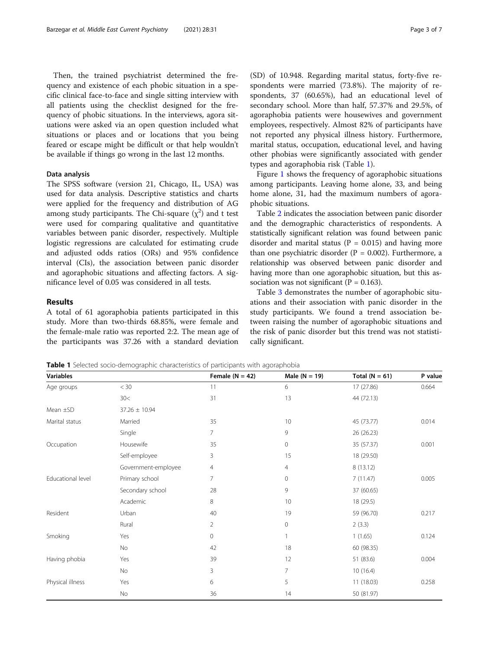Then, the trained psychiatrist determined the frequency and existence of each phobic situation in a specific clinical face-to-face and single sitting interview with all patients using the checklist designed for the frequency of phobic situations. In the interviews, agora situations were asked via an open question included what situations or places and or locations that you being feared or escape might be difficult or that help wouldn't be available if things go wrong in the last 12 months.

#### Data analysis

The SPSS software (version 21, Chicago, IL, USA) was used for data analysis. Descriptive statistics and charts were applied for the frequency and distribution of AG among study participants. The Chi-square  $(\chi^2)$  and t test were used for comparing qualitative and quantitative variables between panic disorder, respectively. Multiple logistic regressions are calculated for estimating crude and adjusted odds ratios (ORs) and 95% confidence interval (CIs), the association between panic disorder and agoraphobic situations and affecting factors. A significance level of 0.05 was considered in all tests.

#### Results

A total of 61 agoraphobia patients participated in this study. More than two-thirds 68.85%, were female and the female-male ratio was reported 2:2. The mean age of the participants was 37.26 with a standard deviation

(SD) of 10.948. Regarding marital status, forty-five respondents were married (73.8%). The majority of respondents, 37 (60.65%), had an educational level of secondary school. More than half, 57.37% and 29.5%, of agoraphobia patients were housewives and government employees, respectively. Almost 82% of participants have not reported any physical illness history. Furthermore, marital status, occupation, educational level, and having other phobias were significantly associated with gender types and agoraphobia risk (Table 1).

Figure [1](#page-3-0) shows the frequency of agoraphobic situations among participants. Leaving home alone, 33, and being home alone, 31, had the maximum numbers of agoraphobic situations.

Table [2](#page-3-0) indicates the association between panic disorder and the demographic characteristics of respondents. A statistically significant relation was found between panic disorder and marital status ( $P = 0.015$ ) and having more than one psychiatric disorder  $(P = 0.002)$ . Furthermore, a relationship was observed between panic disorder and having more than one agoraphobic situation, but this association was not significant ( $P = 0.163$ ).

Table [3](#page-4-0) demonstrates the number of agoraphobic situations and their association with panic disorder in the study participants. We found a trend association between raising the number of agoraphobic situations and the risk of panic disorder but this trend was not statistically significant.

**Table 1** Selected socio-demographic characteristics of participants with agoraphobia

| <b>Variables</b>  |                     | Female $(N = 42)$ | Male $(N = 19)$ | Total ( $N = 61$ ) | P value |
|-------------------|---------------------|-------------------|-----------------|--------------------|---------|
| Age groups        | $<$ 30              | 11                | 6               | 17 (27.86)         | 0.664   |
|                   | 30<                 | 31                | 13              | 44 (72.13)         |         |
| Mean $\pm$ SD     | $37.26 \pm 10.94$   |                   |                 |                    |         |
| Marital status    | Married             | 35                | 10              | 45 (73.77)         | 0.014   |
|                   | Single              | 7                 | 9               | 26 (26.23)         |         |
| Occupation        | Housewife           | 35                | 0               | 35 (57.37)         | 0.001   |
|                   | Self-employee       | 3                 | 15              | 18 (29.50)         |         |
|                   | Government-employee | 4                 | 4               | 8(13.12)           |         |
| Educational level | Primary school      | 7                 | 0               | 7(11.47)           | 0.005   |
|                   | Secondary school    | 28                | 9               | 37 (60.65)         |         |
|                   | Academic            | 8                 | 10              | 18 (29.5)          |         |
| Resident          | Urban               | 40                | 19              | 59 (96.70)         | 0.217   |
|                   | Rural               | $\overline{2}$    | 0               | 2(3.3)             |         |
| Smoking           | Yes                 | $\circ$           |                 | 1(1.65)            | 0.124   |
|                   | No                  | 42                | 18              | 60 (98.35)         |         |
| Having phobia     | Yes                 | 39                | 12              | 51 (83.6)          | 0.004   |
|                   | No                  | 3                 | 7               | 10(16.4)           |         |
| Physical illness  | Yes                 | 6                 | 5               | 11 (18.03)         | 0.258   |
|                   | No                  | 36                | 14              | 50 (81.97)         |         |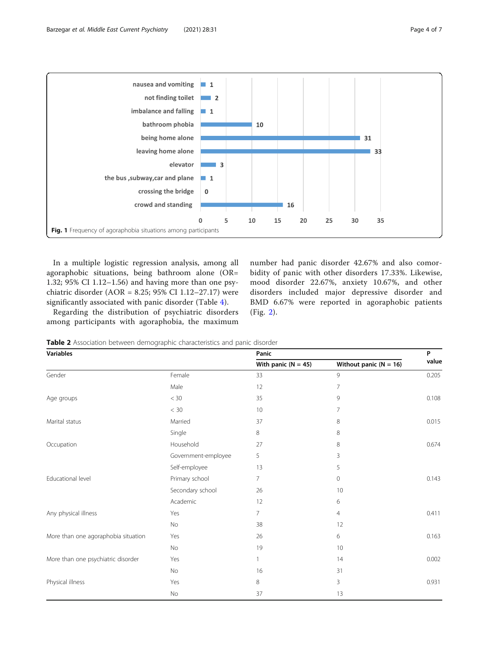<span id="page-3-0"></span>

In a multiple logistic regression analysis, among all agoraphobic situations, being bathroom alone (OR= 1.32; 95% CI 1.12–1.56) and having more than one psychiatric disorder (AOR = 8.25; 95% CI 1.12–27.17) were significantly associated with panic disorder (Table [4](#page-4-0)).

Regarding the distribution of psychiatric disorders among participants with agoraphobia, the maximum

number had panic disorder 42.67% and also comorbidity of panic with other disorders 17.33%. Likewise, mood disorder 22.67%, anxiety 10.67%, and other disorders included major depressive disorder and BMD 6.67% were reported in agoraphobic patients (Fig. [2](#page-5-0)).

**Table 2** Association between demographic characteristics and panic disorder

| <b>Variables</b>                    |                     | Panic                 |                            |       |
|-------------------------------------|---------------------|-----------------------|----------------------------|-------|
|                                     |                     | With panic $(N = 45)$ | Without panic ( $N = 16$ ) | value |
| Gender                              | Female              | 33                    | 9                          | 0.205 |
|                                     | Male                | 12                    | 7                          |       |
| Age groups                          | $<$ 30              | 35                    | 9                          | 0.108 |
|                                     | < 30                | 10                    | $\overline{7}$             |       |
| Marital status                      | Married             | 37                    | 8                          | 0.015 |
|                                     | Single              | 8                     | 8                          |       |
| Occupation                          | Household           | 27                    | 8                          | 0.674 |
|                                     | Government-employee | 5                     | 3                          |       |
|                                     | Self-employee       | 13                    | 5                          |       |
| Educational level                   | Primary school      | 7                     | 0                          | 0.143 |
|                                     | Secondary school    | 26                    | 10                         |       |
|                                     | Academic            | 12                    | 6                          |       |
| Any physical illness                | Yes                 | $\overline{7}$        | $\overline{4}$             | 0.411 |
|                                     | No                  | 38                    | 12                         |       |
| More than one agoraphobia situation | Yes                 | 26                    | 6                          | 0.163 |
|                                     | No                  | 19                    | 10                         |       |
| More than one psychiatric disorder  | Yes                 | 1                     | 14                         | 0.002 |
|                                     | No                  | 16                    | 31                         |       |
| Physical illness                    | Yes                 | 8                     | 3                          | 0.931 |
|                                     | No                  | 37                    | 13                         |       |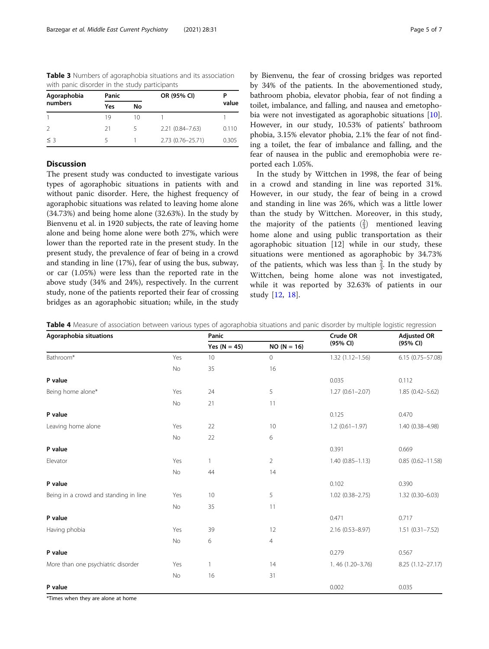<span id="page-4-0"></span>Table 3 Numbers of agoraphobia situations and its association with panic disorder in the study participants

| Agoraphobia   | Panic |    | OR (95% CI)         |       |  |
|---------------|-------|----|---------------------|-------|--|
| numbers       | Yes   | No |                     | value |  |
|               | 19    | 10 |                     |       |  |
| $\mathcal{L}$ | -21   |    | $2.21(0.84 - 7.63)$ | 0.110 |  |
| $<$ 3         |       |    | 2.73 (0.76-25.71)   | 0.305 |  |

## **Discussion**

The present study was conducted to investigate various types of agoraphobic situations in patients with and without panic disorder. Here, the highest frequency of agoraphobic situations was related to leaving home alone (34.73%) and being home alone (32.63%). In the study by Bienvenu et al. in 1920 subjects, the rate of leaving home alone and being home alone were both 27%, which were lower than the reported rate in the present study. In the present study, the prevalence of fear of being in a crowd and standing in line (17%), fear of using the bus, subway, or car (1.05%) were less than the reported rate in the above study (34% and 24%), respectively. In the current study, none of the patients reported their fear of crossing bridges as an agoraphobic situation; while, in the study by Bienvenu, the fear of crossing bridges was reported by 34% of the patients. In the abovementioned study, bathroom phobia, elevator phobia, fear of not finding a toilet, imbalance, and falling, and nausea and emetophobia were not investigated as agoraphobic situations [\[10](#page-6-0)]. However, in our study, 10.53% of patients' bathroom phobia, 3.15% elevator phobia, 2.1% the fear of not finding a toilet, the fear of imbalance and falling, and the fear of nausea in the public and eremophobia were reported each 1.05%.

In the study by Wittchen in 1998, the fear of being in a crowd and standing in line was reported 31%. However, in our study, the fear of being in a crowd and standing in line was 26%, which was a little lower than the study by Wittchen. Moreover, in this study, the majority of the patients  $\left(\frac{2}{3}\right)$  mentioned leaving home alone and using public transportation as their agoraphobic situation [12] while in our study, these situations were mentioned as agoraphobic by 34.73% of the patients, which was less than  $\frac{2}{3}$ . In the study by Wittchen, being home alone was not investigated, while it was reported by 32.63% of patients in our study [\[12](#page-6-0), [18](#page-6-0)].

| Agoraphobia situations                |     | Panic          |                | Crude OR            | <b>Adjusted OR</b>   |
|---------------------------------------|-----|----------------|----------------|---------------------|----------------------|
|                                       |     | Yes $(N = 45)$ | $NO (N = 16)$  | (95% CI)            | (95% CI)             |
| Bathroom*                             | Yes | 10             | $\mathbf 0$    | $1.32(1.12 - 1.56)$ | $6.15(0.75 - 57.08)$ |
|                                       | No  | 35             | 16             |                     |                      |
| P value                               |     |                |                | 0.035               | 0.112                |
| Being home alone*                     | Yes | 24             | 5              | $1.27(0.61 - 2.07)$ | $1.85(0.42 - 5.62)$  |
|                                       | No  | 21             | 11             |                     |                      |
| P value                               |     |                |                | 0.125               | 0.470                |
| Leaving home alone                    | Yes | 22             | 10             | $1.2(0.61 - 1.97)$  | 1.40 (0.38-4.98)     |
|                                       | No  | 22             | 6              |                     |                      |
| P value                               |     |                |                | 0.391               | 0.669                |
| Elevator                              | Yes | $\mathbf{1}$   | $\overline{2}$ | $1.40(0.85 - 1.13)$ | $0.85(0.62 - 11.58)$ |
|                                       | No  | 44             | 14             |                     |                      |
| P value                               |     |                |                | 0.102               | 0.390                |
| Being in a crowd and standing in line | Yes | 10             | 5              | $1.02(0.38 - 2.75)$ | $1.32(0.30 - 6.03)$  |
|                                       | No  | 35             | 11             |                     |                      |
| P value                               |     |                |                | 0.471               | 0.717                |
| Having phobia                         | Yes | 39             | 12             | 2.16 (0.53-8.97)    | $1.51(0.31 - 7.52)$  |
|                                       | No  | 6              | 4              |                     |                      |
| P value                               |     |                |                | 0.279               | 0.567                |
| More than one psychiatric disorder    | Yes | $\mathbf{1}$   | 14             | 1.46 (1.20-3.76)    | 8.25 (1.12-27.17)    |
|                                       | No  | 16             | 31             |                     |                      |
| P value                               |     |                |                | 0.002               | 0.035                |

Table 4 Measure of association between various types of agoraphobia situations and panic disorder by multiple logistic regression

\*Times when they are alone at home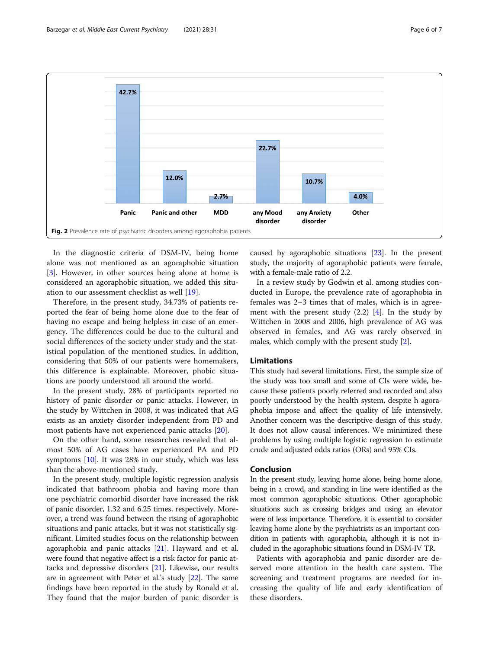<span id="page-5-0"></span>

In the diagnostic criteria of DSM-IV, being home alone was not mentioned as an agoraphobic situation [[3\]](#page-6-0). However, in other sources being alone at home is considered an agoraphobic situation, we added this situation to our assessment checklist as well [[19](#page-6-0)].

Therefore, in the present study, 34.73% of patients reported the fear of being home alone due to the fear of having no escape and being helpless in case of an emergency. The differences could be due to the cultural and social differences of the society under study and the statistical population of the mentioned studies. In addition, considering that 50% of our patients were homemakers, this difference is explainable. Moreover, phobic situations are poorly understood all around the world.

In the present study, 28% of participants reported no history of panic disorder or panic attacks. However, in the study by Wittchen in 2008, it was indicated that AG exists as an anxiety disorder independent from PD and most patients have not experienced panic attacks [\[20\]](#page-6-0).

On the other hand, some researches revealed that almost 50% of AG cases have experienced PA and PD symptoms [\[10](#page-6-0)]. It was 28% in our study, which was less than the above-mentioned study.

In the present study, multiple logistic regression analysis indicated that bathroom phobia and having more than one psychiatric comorbid disorder have increased the risk of panic disorder, 1.32 and 6.25 times, respectively. Moreover, a trend was found between the rising of agoraphobic situations and panic attacks, but it was not statistically significant. Limited studies focus on the relationship between agoraphobia and panic attacks [[21](#page-6-0)]. Hayward and et al. were found that negative affect is a risk factor for panic attacks and depressive disorders [[21\]](#page-6-0). Likewise, our results are in agreement with Peter et al.'s study [\[22\]](#page-6-0). The same findings have been reported in the study by Ronald et al. They found that the major burden of panic disorder is

caused by agoraphobic situations [\[23\]](#page-6-0). In the present study, the majority of agoraphobic patients were female, with a female-male ratio of 2.2.

In a review study by Godwin et al. among studies conducted in Europe, the prevalence rate of agoraphobia in females was 2–3 times that of males, which is in agreement with the present study  $(2.2)$  [\[4](#page-6-0)]. In the study by Wittchen in 2008 and 2006, high prevalence of AG was observed in females, and AG was rarely observed in males, which comply with the present study [[2\]](#page-6-0).

#### Limitations

This study had several limitations. First, the sample size of the study was too small and some of CIs were wide, because these patients poorly referred and recorded and also poorly understood by the health system, despite h agoraphobia impose and affect the quality of life intensively. Another concern was the descriptive design of this study. It does not allow causal inferences. We minimized these problems by using multiple logistic regression to estimate crude and adjusted odds ratios (ORs) and 95% CIs.

### Conclusion

In the present study, leaving home alone, being home alone, being in a crowd, and standing in line were identified as the most common agoraphobic situations. Other agoraphobic situations such as crossing bridges and using an elevator were of less importance. Therefore, it is essential to consider leaving home alone by the psychiatrists as an important condition in patients with agoraphobia, although it is not included in the agoraphobic situations found in DSM-IV TR.

Patients with agoraphobia and panic disorder are deserved more attention in the health care system. The screening and treatment programs are needed for increasing the quality of life and early identification of these disorders.